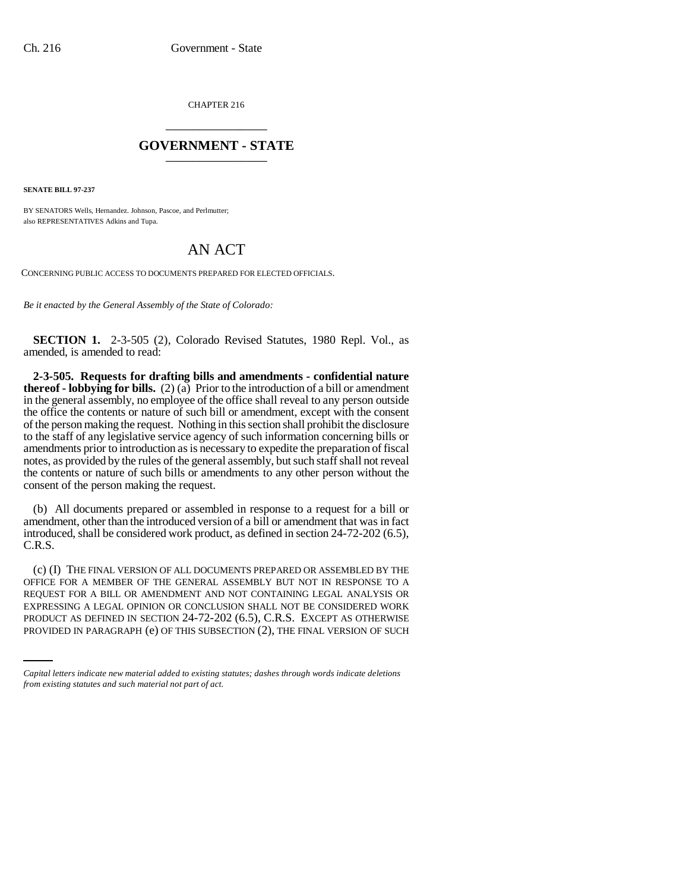CHAPTER 216 \_\_\_\_\_\_\_\_\_\_\_\_\_\_\_

## **GOVERNMENT - STATE** \_\_\_\_\_\_\_\_\_\_\_\_\_\_\_

**SENATE BILL 97-237**

BY SENATORS Wells, Hernandez. Johnson, Pascoe, and Perlmutter; also REPRESENTATIVES Adkins and Tupa.

## AN ACT

CONCERNING PUBLIC ACCESS TO DOCUMENTS PREPARED FOR ELECTED OFFICIALS.

*Be it enacted by the General Assembly of the State of Colorado:*

**SECTION 1.** 2-3-505 (2), Colorado Revised Statutes, 1980 Repl. Vol., as amended, is amended to read:

**2-3-505. Requests for drafting bills and amendments - confidential nature thereof - lobbying for bills.**  $(2)(a)$  Prior to the introduction of a bill or amendment in the general assembly, no employee of the office shall reveal to any person outside the office the contents or nature of such bill or amendment, except with the consent of the person making the request. Nothing in this section shall prohibit the disclosure to the staff of any legislative service agency of such information concerning bills or amendments prior to introduction as is necessary to expedite the preparation of fiscal notes, as provided by the rules of the general assembly, but such staff shall not reveal the contents or nature of such bills or amendments to any other person without the consent of the person making the request.

(b) All documents prepared or assembled in response to a request for a bill or amendment, other than the introduced version of a bill or amendment that was in fact introduced, shall be considered work product, as defined in section 24-72-202 (6.5), C.R.S.

EXPRESSING A LEGAL OPINION OR CONCLUSION SHALL NOT BE CONSIDERED WORK (c) (I) THE FINAL VERSION OF ALL DOCUMENTS PREPARED OR ASSEMBLED BY THE OFFICE FOR A MEMBER OF THE GENERAL ASSEMBLY BUT NOT IN RESPONSE TO A REQUEST FOR A BILL OR AMENDMENT AND NOT CONTAINING LEGAL ANALYSIS OR PRODUCT AS DEFINED IN SECTION 24-72-202 (6.5), C.R.S. EXCEPT AS OTHERWISE PROVIDED IN PARAGRAPH (e) OF THIS SUBSECTION (2), THE FINAL VERSION OF SUCH

*Capital letters indicate new material added to existing statutes; dashes through words indicate deletions from existing statutes and such material not part of act.*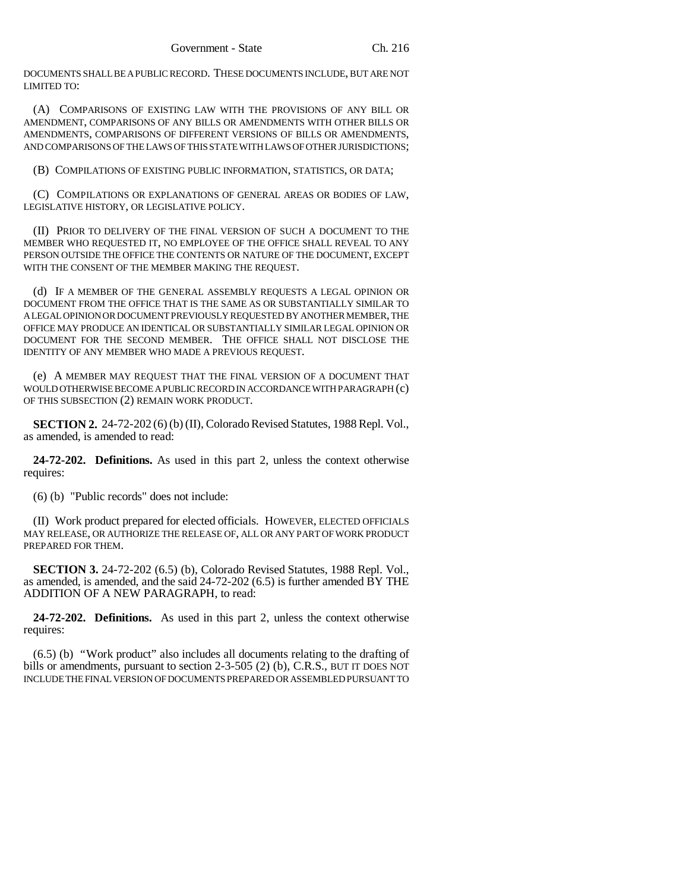DOCUMENTS SHALL BE A PUBLIC RECORD. THESE DOCUMENTS INCLUDE, BUT ARE NOT LIMITED TO:

(A) COMPARISONS OF EXISTING LAW WITH THE PROVISIONS OF ANY BILL OR AMENDMENT, COMPARISONS OF ANY BILLS OR AMENDMENTS WITH OTHER BILLS OR AMENDMENTS, COMPARISONS OF DIFFERENT VERSIONS OF BILLS OR AMENDMENTS, AND COMPARISONS OF THE LAWS OF THIS STATE WITH LAWS OF OTHER JURISDICTIONS;

(B) COMPILATIONS OF EXISTING PUBLIC INFORMATION, STATISTICS, OR DATA;

(C) COMPILATIONS OR EXPLANATIONS OF GENERAL AREAS OR BODIES OF LAW, LEGISLATIVE HISTORY, OR LEGISLATIVE POLICY.

(II) PRIOR TO DELIVERY OF THE FINAL VERSION OF SUCH A DOCUMENT TO THE MEMBER WHO REQUESTED IT, NO EMPLOYEE OF THE OFFICE SHALL REVEAL TO ANY PERSON OUTSIDE THE OFFICE THE CONTENTS OR NATURE OF THE DOCUMENT, EXCEPT WITH THE CONSENT OF THE MEMBER MAKING THE REQUEST.

(d) IF A MEMBER OF THE GENERAL ASSEMBLY REQUESTS A LEGAL OPINION OR DOCUMENT FROM THE OFFICE THAT IS THE SAME AS OR SUBSTANTIALLY SIMILAR TO A LEGAL OPINION OR DOCUMENT PREVIOUSLY REQUESTED BY ANOTHER MEMBER, THE OFFICE MAY PRODUCE AN IDENTICAL OR SUBSTANTIALLY SIMILAR LEGAL OPINION OR DOCUMENT FOR THE SECOND MEMBER. THE OFFICE SHALL NOT DISCLOSE THE IDENTITY OF ANY MEMBER WHO MADE A PREVIOUS REQUEST.

(e) A MEMBER MAY REQUEST THAT THE FINAL VERSION OF A DOCUMENT THAT WOULD OTHERWISE BECOME A PUBLIC RECORD IN ACCORDANCE WITH PARAGRAPH (c) OF THIS SUBSECTION (2) REMAIN WORK PRODUCT.

**SECTION 2.** 24-72-202 (6) (b) (II), Colorado Revised Statutes, 1988 Repl. Vol., as amended, is amended to read:

**24-72-202. Definitions.** As used in this part 2, unless the context otherwise requires:

(6) (b) "Public records" does not include:

(II) Work product prepared for elected officials. HOWEVER, ELECTED OFFICIALS MAY RELEASE, OR AUTHORIZE THE RELEASE OF, ALL OR ANY PART OF WORK PRODUCT PREPARED FOR THEM.

**SECTION 3.** 24-72-202 (6.5) (b), Colorado Revised Statutes, 1988 Repl. Vol., as amended, is amended, and the said 24-72-202 (6.5) is further amended BY THE ADDITION OF A NEW PARAGRAPH, to read:

**24-72-202. Definitions.** As used in this part 2, unless the context otherwise requires:

(6.5) (b) "Work product" also includes all documents relating to the drafting of bills or amendments, pursuant to section 2-3-505 (2) (b), C.R.S., BUT IT DOES NOT INCLUDE THE FINAL VERSION OF DOCUMENTS PREPARED OR ASSEMBLED PURSUANT TO